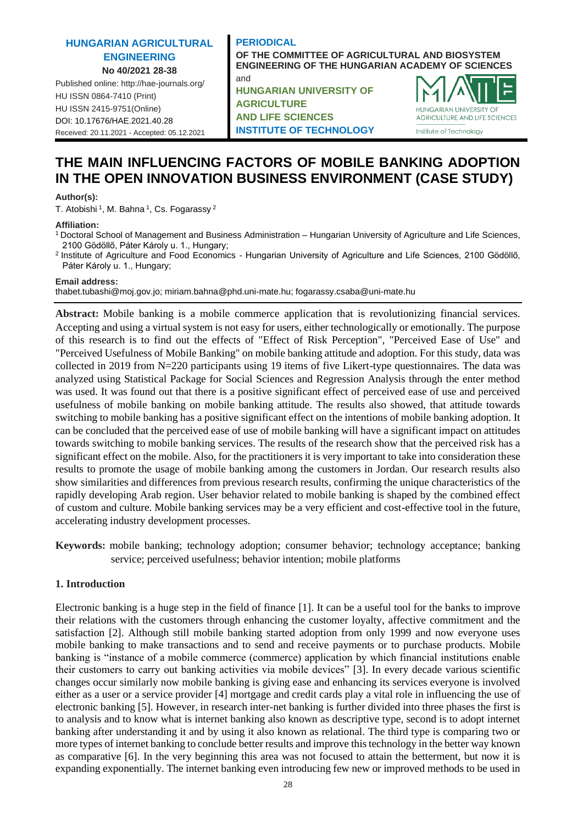# **HUNGARIAN AGRICULTURAL ENGINEERING No 40/2021 28-38**

Published online: http://hae-journals.org/ HU ISSN 0864-7410 (Print) HU ISSN 2415-9751(Online) [DOI: 10.17676/HAE.2021.40.28](https://doi.org/10.17676/HAE.2021.40.28) Received: 20.11.2021 - Accepted: 05.12.2021

### **PERIODICAL**

and

**OF THE COMMITTEE OF AGRICULTURAL AND BIOSYSTEM ENGINEERING OF THE HUNGARIAN ACADEMY OF SCIENCES**

**HUNGARIAN UNIVERSITY OF AGRICULTURE AND LIFE SCIENCES INSTITUTE OF TECHNOLOGY**



# **THE MAIN INFLUENCING FACTORS OF MOBILE BANKING ADOPTION IN THE OPEN INNOVATION BUSINESS ENVIRONMENT (CASE STUDY)**

### **Author(s):**

T. Atobishi <sup>1</sup>, M. Bahna <sup>1</sup>, Cs. Fogarassy <sup>2</sup>

### **Affiliation:**

- <sup>1</sup>Doctoral School of Management and Business Administration Hungarian University of Agriculture and Life Sciences, 2100 Gödöllő, Páter Károly u. 1., Hungary;
- <sup>2</sup> Institute of Agriculture and Food Economics Hungarian University of Agriculture and Life Sciences, 2100 Gödöllő, Páter Károly u. 1., Hungary;

#### **Email address:**

thabet.tubashi@moj.gov.jo; miriam.bahna@phd.uni-mate.hu; fogarassy.csaba@uni-mate.hu

**Abstract:** Mobile banking is a mobile commerce application that is revolutionizing financial services. Accepting and using a virtual system is not easy for users, either technologically or emotionally. The purpose of this research is to find out the effects of "Effect of Risk Perception", "Perceived Ease of Use" and "Perceived Usefulness of Mobile Banking" on mobile banking attitude and adoption. For this study, data was collected in 2019 from N=220 participants using 19 items of five Likert-type questionnaires. The data was analyzed using Statistical Package for Social Sciences and Regression Analysis through the enter method was used. It was found out that there is a positive significant effect of perceived ease of use and perceived usefulness of mobile banking on mobile banking attitude. The results also showed, that attitude towards switching to mobile banking has a positive significant effect on the intentions of mobile banking adoption. It can be concluded that the perceived ease of use of mobile banking will have a significant impact on attitudes towards switching to mobile banking services. The results of the research show that the perceived risk has a significant effect on the mobile. Also, for the practitioners it is very important to take into consideration these results to promote the usage of mobile banking among the customers in Jordan. Our research results also show similarities and differences from previous research results, confirming the unique characteristics of the rapidly developing Arab region. User behavior related to mobile banking is shaped by the combined effect of custom and culture. Mobile banking services may be a very efficient and cost-effective tool in the future, accelerating industry development processes.

**Keywords:** mobile banking; technology adoption; consumer behavior; technology acceptance; banking service; perceived usefulness; behavior intention; mobile platforms

# **1. Introduction**

Electronic banking is a huge step in the field of finance [\[1\].](#page-8-0) It can be a useful tool for the banks to improve their relations with the customers through enhancing the customer loyalty, affective commitment and the satisfaction [\[2\].](#page-8-1) Although still mobile banking started adoption from only 1999 and now everyone uses mobile banking to make transactions and to send and receive payments or to purchase products. Mobile banking is "instance of a mobile commerce (commerce) application by which financial institutions enable their customers to carry out banking activities via mobile devices" [\[3\].](#page-8-2) In every decade various scientific changes occur similarly now mobile banking is giving ease and enhancing its services everyone is involved either as a user or a service provider [\[4\]](#page-8-3) mortgage and credit cards play a vital role in influencing the use of electronic banking [\[5\].](#page-8-4) However, in research inter-net banking is further divided into three phases the first is to analysis and to know what is internet banking also known as descriptive type, second is to adopt internet banking after understanding it and by using it also known as relational. The third type is comparing two or more types of internet banking to conclude better results and improve this technology in the better way known as comparative [\[6\].](#page-8-5) In the very beginning this area was not focused to attain the betterment, but now it is expanding exponentially. The internet banking even introducing few new or improved methods to be used in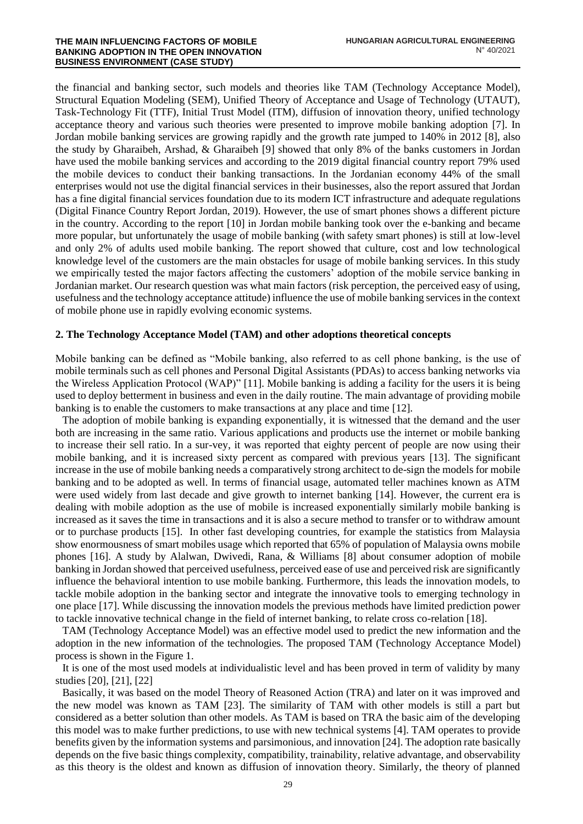the financial and banking sector, such models and theories like TAM (Technology Acceptance Model), Structural Equation Modeling (SEM), Unified Theory of Acceptance and Usage of Technology (UTAUT), Task-Technology Fit (TTF), Initial Trust Model (ITM), diffusion of innovation theory, unified technology acceptance theory and various such theories were presented to improve mobile banking adoption [\[7\].](#page-8-6) In Jordan mobile banking services are growing rapidly and the growth rate jumped to 140% in 2012 [\[8\],](#page-8-7) also the study by Gharaibeh, Arshad, & Gharaibeh [\[9\]](#page-8-8) showed that only 8% of the banks customers in Jordan have used the mobile banking services and according to the 2019 digital financial country report 79% used the mobile devices to conduct their banking transactions. In the Jordanian economy 44% of the small enterprises would not use the digital financial services in their businesses, also the report assured that Jordan has a fine digital financial services foundation due to its modern ICT infrastructure and adequate regulations (Digital Finance Country Report Jordan, 2019). However, the use of smart phones shows a different picture in the country. According to the report [\[10\]](#page-8-9) in Jordan mobile banking took over the e-banking and became more popular, but unfortunately the usage of mobile banking (with safety smart phones) is still at low-level and only 2% of adults used mobile banking. The report showed that culture, cost and low technological knowledge level of the customers are the main obstacles for usage of mobile banking services. In this study we empirically tested the major factors affecting the customers' adoption of the mobile service banking in Jordanian market. Our research question was what main factors (risk perception, the perceived easy of using, usefulness and the technology acceptance attitude) influence the use of mobile banking services in the context of mobile phone use in rapidly evolving economic systems.

# **2. The Technology Acceptance Model (TAM) and other adoptions theoretical concepts**

Mobile banking can be defined as "Mobile banking, also referred to as cell phone banking, is the use of mobile terminals such as cell phones and Personal Digital Assistants (PDAs) to access banking networks via the Wireless Application Protocol (WAP)" [\[11\].](#page-8-10) Mobile banking is adding a facility for the users it is being used to deploy betterment in business and even in the daily routine. The main advantage of providing mobile banking is to enable the customers to make transactions at any place and time [\[12\].](#page-8-11)

The adoption of mobile banking is expanding exponentially, it is witnessed that the demand and the user both are increasing in the same ratio. Various applications and products use the internet or mobile banking to increase their sell ratio. In a sur-vey, it was reported that eighty percent of people are now using their mobile banking, and it is increased sixty percent as compared with previous years [\[13\].](#page-9-0) The significant increase in the use of mobile banking needs a comparatively strong architect to de-sign the models for mobile banking and to be adopted as well. In terms of financial usage, automated teller machines known as ATM were used widely from last decade and give growth to internet banking [\[14\].](#page-9-1) However, the current era is dealing with mobile adoption as the use of mobile is increased exponentially similarly mobile banking is increased as it saves the time in transactions and it is also a secure method to transfer or to withdraw amount or to purchase products [\[15\].](#page-9-2) In other fast developing countries, for example the statistics from Malaysia show enormousness of smart mobiles usage which reported that 65% of population of Malaysia owns mobile phones [\[16\].](#page-9-3) A study by Alalwan, Dwivedi, Rana, & Williams [\[8\]](#page-8-7) about consumer adoption of mobile banking in Jordan showed that perceived usefulness, perceived ease of use and perceived risk are significantly influence the behavioral intention to use mobile banking. Furthermore, this leads the innovation models, to tackle mobile adoption in the banking sector and integrate the innovative tools to emerging technology in one place [\[17\].](#page-9-4) While discussing the innovation models the previous methods have limited prediction power to tackle innovative technical change in the field of internet banking, to relate cross co-relation [\[18\].](#page-9-5)

TAM (Technology Acceptance Model) was an effective model used to predict the new information and the adoption in the new information of the technologies. The proposed TAM (Technology Acceptance Model) process is shown in the Figure 1.

It is one of the most used models at individualistic level and has been proved in term of validity by many studies [\[20\],](#page-9-6) [\[21\],](#page-9-7) [\[22\]](#page-9-8)

Basically, it was based on the model Theory of Reasoned Action (TRA) and later on it was improved and the new model was known as TAM [\[23\].](#page-9-9) The similarity of TAM with other models is still a part but considered as a better solution than other models. As TAM is based on TRA the basic aim of the developing this model was to make further predictions, to use with new technical systems [\[4\].](#page-8-3) TAM operates to provide benefits given by the information systems and parsimonious, and innovatio[n \[24\].](#page-9-10) The adoption rate basically depends on the five basic things complexity, compatibility, trainability, relative advantage, and observability as this theory is the oldest and known as diffusion of innovation theory. Similarly, the theory of planned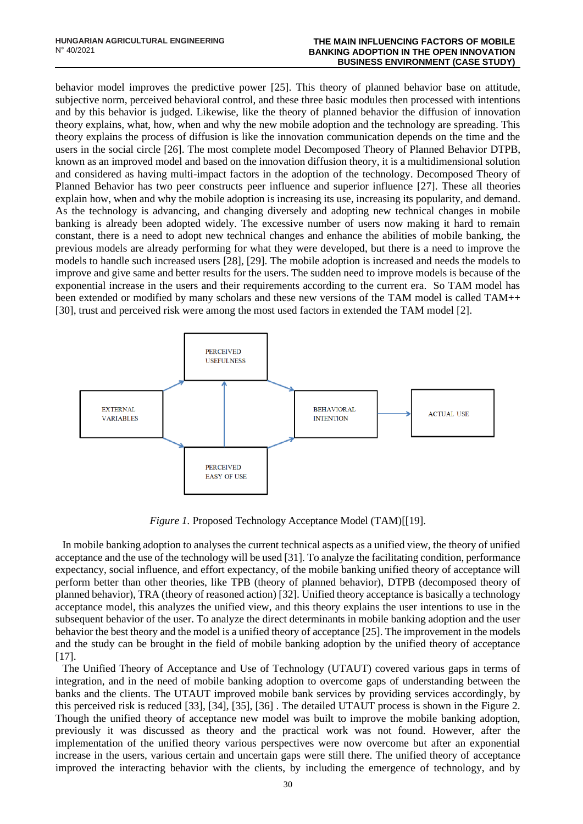#### **THE MAIN INFLUENCING FACTORS OF MOBILE BANKING ADOPTION IN THE OPEN INNOVATION BUSINESS ENVIRONMENT (CASE STUDY)**

behavior model improves the predictive power [\[25\].](#page-9-11) This theory of planned behavior base on attitude, subjective norm, perceived behavioral control, and these three basic modules then processed with intentions and by this behavior is judged. Likewise, like the theory of planned behavior the diffusion of innovation theory explains, what, how, when and why the new mobile adoption and the technology are spreading. This theory explains the process of diffusion is like the innovation communication depends on the time and the users in the social circle [\[26\].](#page-9-12) The most complete model Decomposed Theory of Planned Behavior DTPB, known as an improved model and based on the innovation diffusion theory, it is a multidimensional solution and considered as having multi-impact factors in the adoption of the technology. Decomposed Theory of Planned Behavior has two peer constructs peer influence and superior influence [\[27\].](#page-9-13) These all theories explain how, when and why the mobile adoption is increasing its use, increasing its popularity, and demand. As the technology is advancing, and changing diversely and adopting new technical changes in mobile banking is already been adopted widely. The excessive number of users now making it hard to remain constant, there is a need to adopt new technical changes and enhance the abilities of mobile banking, the previous models are already performing for what they were developed, but there is a need to improve the models to handle such increased users [\[28\],](#page-9-14) [\[29\].](#page-9-15) The mobile adoption is increased and needs the models to improve and give same and better results for the users. The sudden need to improve models is because of the exponential increase in the users and their requirements according to the current era. So TAM model has been extended or modified by many scholars and these new versions of the TAM model is called TAM++ [\[30\],](#page-9-16) trust and perceived risk were among the most used factors in extended the TAM model [\[2\].](#page-8-1)



*Figure 1.* Proposed Technology Acceptance Model (TAM)[\[\[19\].](#page-9-17)

In mobile banking adoption to analyses the current technical aspects as a unified view, the theory of unified acceptance and the use of the technology will be use[d \[31\].](#page-9-18) To analyze the facilitating condition, performance expectancy, social influence, and effort expectancy, of the mobile banking unified theory of acceptance will perform better than other theories, like TPB (theory of planned behavior), DTPB (decomposed theory of planned behavior), TRA (theory of reasoned action[\) \[32\].](#page-9-19) Unified theory acceptance is basically a technology acceptance model, this analyzes the unified view, and this theory explains the user intentions to use in the subsequent behavior of the user. To analyze the direct determinants in mobile banking adoption and the user behavior the best theory and the model is a unified theory of acceptanc[e \[25\].](#page-9-11) The improvement in the models and the study can be brought in the field of mobile banking adoption by the unified theory of acceptance  $[17]$ .

The Unified Theory of Acceptance and Use of Technology (UTAUT) covered various gaps in terms of integration, and in the need of mobile banking adoption to overcome gaps of understanding between the banks and the clients. The UTAUT improved mobile bank services by providing services accordingly, by this perceived risk is reduced [\[33\],](#page-10-0) [\[34\],](#page-10-1) [\[35\],](#page-10-2) [\[36\]](#page-10-3) . The detailed UTAUT process is shown in the Figure 2. Though the unified theory of acceptance new model was built to improve the mobile banking adoption, previously it was discussed as theory and the practical work was not found. However, after the implementation of the unified theory various perspectives were now overcome but after an exponential increase in the users, various certain and uncertain gaps were still there. The unified theory of acceptance improved the interacting behavior with the clients, by including the emergence of technology, and by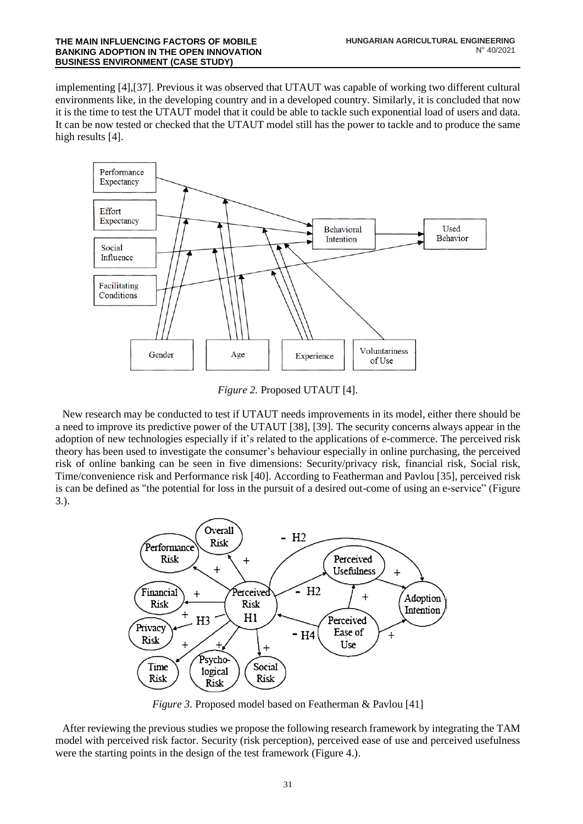implementing [\[4\],](#page-8-3)[\[37\].](#page-10-4) Previous it was observed that UTAUT was capable of working two different cultural environments like, in the developing country and in a developed country. Similarly, it is concluded that now it is the time to test the UTAUT model that it could be able to tackle such exponential load of users and data. It can be now tested or checked that the UTAUT model still has the power to tackle and to produce the same high results [\[4\].](#page-8-3)



*Figure 2.* Proposed UTAUT [4].

New research may be conducted to test if UTAUT needs improvements in its model, either there should be a need to improve its predictive power of the UTAUT [\[38\],](#page-10-5) [\[39\].](#page-10-6) The security concerns always appear in the adoption of new technologies especially if it's related to the applications of e-commerce. The perceived risk theory has been used to investigate the consumer's behaviour especially in online purchasing, the perceived risk of online banking can be seen in five dimensions: Security/privacy risk, financial risk, Social risk, Time/convenience risk and Performance risk [\[40\].](#page-10-7) According to Featherman and Pavlou [\[35\],](#page-10-2) perceived risk is can be defined as "the potential for loss in the pursuit of a desired out-come of using an e-service" (Figure 3.).



*Figure 3.* Proposed model based on Featherman & Pavlou [\[41\]](#page-10-8)

After reviewing the previous studies we propose the following research framework by integrating the TAM model with perceived risk factor. Security (risk perception), perceived ease of use and perceived usefulness were the starting points in the design of the test framework (Figure 4.).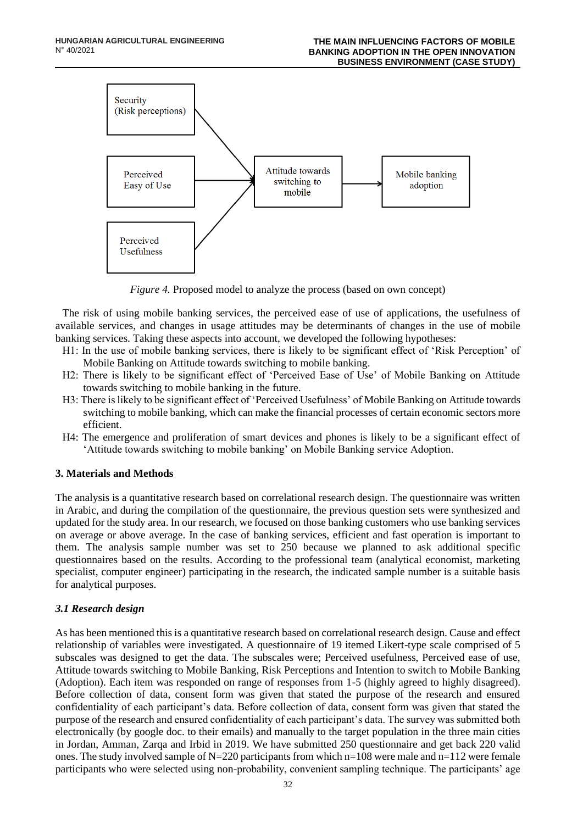

*Figure 4.* Proposed model to analyze the process (based on own concept)

The risk of using mobile banking services, the perceived ease of use of applications, the usefulness of available services, and changes in usage attitudes may be determinants of changes in the use of mobile banking services. Taking these aspects into account, we developed the following hypotheses:

- H1: In the use of mobile banking services, there is likely to be significant effect of 'Risk Perception' of Mobile Banking on Attitude towards switching to mobile banking.
- H2: There is likely to be significant effect of 'Perceived Ease of Use' of Mobile Banking on Attitude towards switching to mobile banking in the future.
- H3: There is likely to be significant effect of 'Perceived Usefulness' of Mobile Banking on Attitude towards switching to mobile banking, which can make the financial processes of certain economic sectors more efficient.
- H4: The emergence and proliferation of smart devices and phones is likely to be a significant effect of 'Attitude towards switching to mobile banking' on Mobile Banking service Adoption.

# **3. Materials and Methods**

The analysis is a quantitative research based on correlational research design. The questionnaire was written in Arabic, and during the compilation of the questionnaire, the previous question sets were synthesized and updated for the study area. In our research, we focused on those banking customers who use banking services on average or above average. In the case of banking services, efficient and fast operation is important to them. The analysis sample number was set to 250 because we planned to ask additional specific questionnaires based on the results. According to the professional team (analytical economist, marketing specialist, computer engineer) participating in the research, the indicated sample number is a suitable basis for analytical purposes.

# *3.1 Research design*

As has been mentioned this is a quantitative research based on correlational research design. Cause and effect relationship of variables were investigated. A questionnaire of 19 itemed Likert-type scale comprised of 5 subscales was designed to get the data. The subscales were; Perceived usefulness, Perceived ease of use, Attitude towards switching to Mobile Banking, Risk Perceptions and Intention to switch to Mobile Banking (Adoption). Each item was responded on range of responses from 1-5 (highly agreed to highly disagreed). Before collection of data, consent form was given that stated the purpose of the research and ensured confidentiality of each participant's data. Before collection of data, consent form was given that stated the purpose of the research and ensured confidentiality of each participant's data. The survey was submitted both electronically (by google doc. to their emails) and manually to the target population in the three main cities in Jordan, Amman, Zarqa and Irbid in 2019. We have submitted 250 questionnaire and get back 220 valid ones. The study involved sample of  $N=220$  participants from which n=108 were male and n=112 were female participants who were selected using non-probability, convenient sampling technique. The participants' age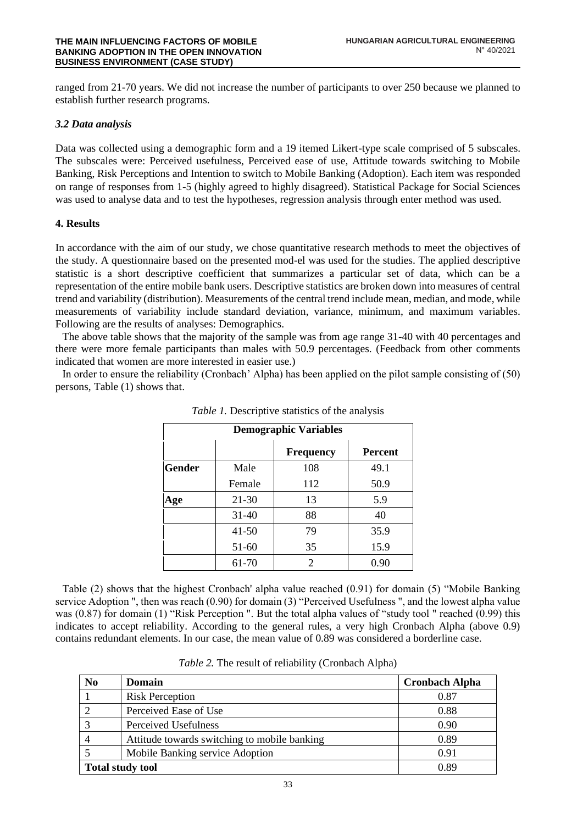ranged from 21-70 years. We did not increase the number of participants to over 250 because we planned to establish further research programs.

# *3.2 Data analysis*

Data was collected using a demographic form and a 19 itemed Likert-type scale comprised of 5 subscales. The subscales were: Perceived usefulness, Perceived ease of use, Attitude towards switching to Mobile Banking, Risk Perceptions and Intention to switch to Mobile Banking (Adoption). Each item was responded on range of responses from 1-5 (highly agreed to highly disagreed). Statistical Package for Social Sciences was used to analyse data and to test the hypotheses, regression analysis through enter method was used.

# **4. Results**

In accordance with the aim of our study, we chose quantitative research methods to meet the objectives of the study. A questionnaire based on the presented mod-el was used for the studies. The applied descriptive statistic is a short descriptive coefficient that summarizes a particular set of data, which can be a representation of the entire mobile bank users. Descriptive statistics are broken down into measures of central trend and variability (distribution). Measurements of the central trend include mean, median, and mode, while measurements of variability include standard deviation, variance, minimum, and maximum variables. Following are the results of analyses: Demographics.

The above table shows that the majority of the sample was from age range 31-40 with 40 percentages and there were more female participants than males with 50.9 percentages. (Feedback from other comments indicated that women are more interested in easier use.)

In order to ensure the reliability (Cronbach' Alpha) has been applied on the pilot sample consisting of (50) persons, Table (1) shows that.

| <b>Demographic Variables</b> |           |                             |                |  |  |  |
|------------------------------|-----------|-----------------------------|----------------|--|--|--|
|                              |           | <b>Frequency</b>            | <b>Percent</b> |  |  |  |
| <b>Gender</b>                | Male      | 108                         | 49.1           |  |  |  |
|                              | Female    | 112                         | 50.9           |  |  |  |
| Age                          | 21-30     | 13                          | 5.9            |  |  |  |
|                              | $31-40$   | 88                          | 40             |  |  |  |
|                              | $41 - 50$ | 79                          | 35.9           |  |  |  |
|                              | 51-60     | 35                          | 15.9           |  |  |  |
|                              | 61-70     | $\mathcal{D}_{\mathcal{A}}$ | 0.90           |  |  |  |

*Table 1.* Descriptive statistics of the analysis

Table (2) shows that the highest Cronbach' alpha value reached (0.91) for domain (5) "Mobile Banking service Adoption ", then was reach (0.90) for domain (3) "Perceived Usefulness ", and the lowest alpha value was (0.87) for domain (1) "Risk Perception ". But the total alpha values of "study tool " reached (0.99) this indicates to accept reliability. According to the general rules, a very high Cronbach Alpha (above 0.9) contains redundant elements. In our case, the mean value of 0.89 was considered a borderline case.

| N <sub>0</sub>          | <b>Domain</b>                                | <b>Cronbach Alpha</b> |
|-------------------------|----------------------------------------------|-----------------------|
|                         | <b>Risk Perception</b>                       | 0.87                  |
| 2                       | Perceived Ease of Use                        | 0.88                  |
| 3                       | Perceived Usefulness                         | 0.90                  |
| $\overline{4}$          | Attitude towards switching to mobile banking | 0.89                  |
|                         | Mobile Banking service Adoption              | 0.91                  |
| <b>Total study tool</b> |                                              | 0.89                  |

*Table 2.* The result of reliability (Cronbach Alpha)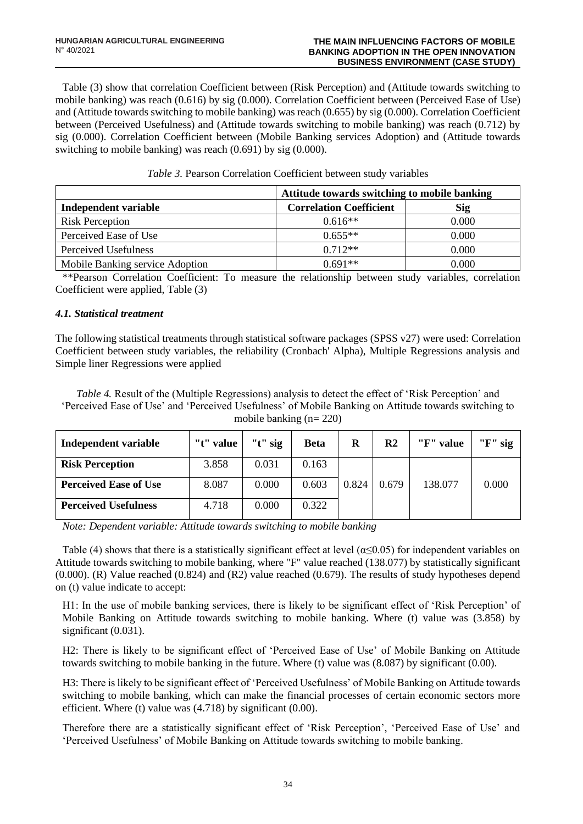Table (3) show that correlation Coefficient between (Risk Perception) and (Attitude towards switching to mobile banking) was reach (0.616) by sig (0.000). Correlation Coefficient between (Perceived Ease of Use) and (Attitude towards switching to mobile banking) was reach (0.655) by sig (0.000). Correlation Coefficient between (Perceived Usefulness) and (Attitude towards switching to mobile banking) was reach (0.712) by sig (0.000). Correlation Coefficient between (Mobile Banking services Adoption) and (Attitude towards switching to mobile banking) was reach (0.691) by sig (0.000).

|                                 | Attitude towards switching to mobile banking |            |  |  |
|---------------------------------|----------------------------------------------|------------|--|--|
| Independent variable            | <b>Correlation Coefficient</b>               | <b>Sig</b> |  |  |
| <b>Risk Perception</b>          | $0.616**$                                    | 0.000      |  |  |
| Perceived Ease of Use           | $0.655**$                                    | 0.000      |  |  |
| Perceived Usefulness            | $0.712**$                                    | 0.000      |  |  |
| Mobile Banking service Adoption | $0.691**$                                    | 0.000      |  |  |

\*\*Pearson Correlation Coefficient: To measure the relationship between study variables, correlation Coefficient were applied, Table (3)

# *4.1. Statistical treatment*

The following statistical treatments through statistical software packages (SPSS v27) were used: Correlation Coefficient between study variables, the reliability (Cronbach' Alpha), Multiple Regressions analysis and Simple liner Regressions were applied

*Table 4.* Result of the (Multiple Regressions) analysis to detect the effect of 'Risk Perception' and 'Perceived Ease of Use' and 'Perceived Usefulness' of Mobile Banking on Attitude towards switching to mobile banking (n= 220)

| Independent variable         | "t" value | " $t$ " sig | <b>Beta</b> | R     | R2    | "F" value | " $F$ " sig |
|------------------------------|-----------|-------------|-------------|-------|-------|-----------|-------------|
| <b>Risk Perception</b>       | 3.858     | 0.031       | 0.163       |       |       |           |             |
| <b>Perceived Ease of Use</b> | 8.087     | 0.000       | 0.603       | 0.824 | 0.679 | 138.077   | 0.000       |
| <b>Perceived Usefulness</b>  | 4.718     | 0.000       | 0.322       |       |       |           |             |

*Note: Dependent variable: Attitude towards switching to mobile banking*

Table (4) shows that there is a statistically significant effect at level ( $\alpha \le 0.05$ ) for independent variables on Attitude towards switching to mobile banking, where "F" value reached (138.077) by statistically significant (0.000). (R) Value reached (0.824) and (R2) value reached (0.679). The results of study hypotheses depend on (t) value indicate to accept:

H1: In the use of mobile banking services, there is likely to be significant effect of 'Risk Perception' of Mobile Banking on Attitude towards switching to mobile banking. Where (t) value was (3.858) by significant (0.031).

H2: There is likely to be significant effect of 'Perceived Ease of Use' of Mobile Banking on Attitude towards switching to mobile banking in the future. Where (t) value was (8.087) by significant (0.00).

H3: There is likely to be significant effect of 'Perceived Usefulness' of Mobile Banking on Attitude towards switching to mobile banking, which can make the financial processes of certain economic sectors more efficient. Where (t) value was (4.718) by significant (0.00).

Therefore there are a statistically significant effect of 'Risk Perception', 'Perceived Ease of Use' and 'Perceived Usefulness' of Mobile Banking on Attitude towards switching to mobile banking.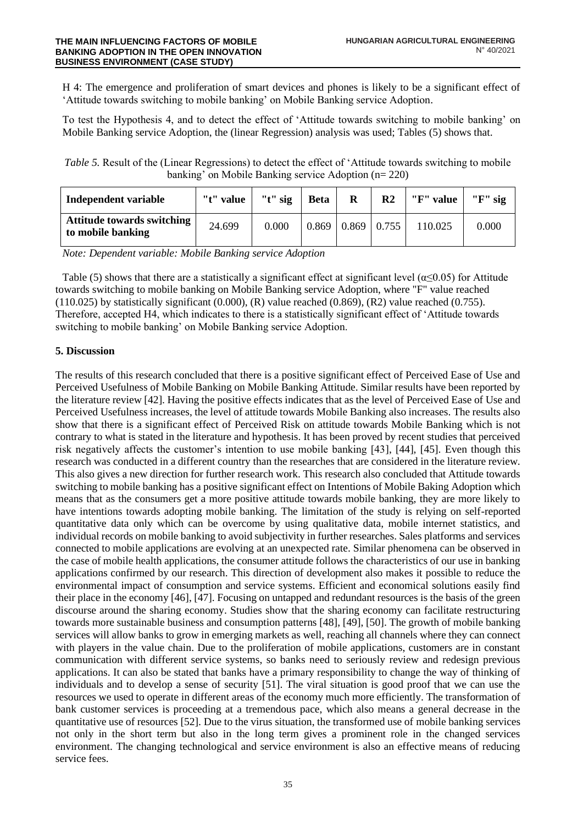H 4: The emergence and proliferation of smart devices and phones is likely to be a significant effect of 'Attitude towards switching to mobile banking' on Mobile Banking service Adoption.

To test the Hypothesis 4, and to detect the effect of 'Attitude towards switching to mobile banking' on Mobile Banking service Adoption, the (linear Regression) analysis was used; Tables (5) shows that.

*Table 5.* Result of the (Linear Regressions) to detect the effect of 'Attitude towards switching to mobile banking' on Mobile Banking service Adoption (n= 220)

| Independent variable                            | "t" value $\vert$ | " $t$ " sig | <b>Beta</b> | R             | $\mathbf{R}2$ | "F" value | " $F$ " sig |
|-------------------------------------------------|-------------------|-------------|-------------|---------------|---------------|-----------|-------------|
| Attitude towards switching<br>to mobile banking | 24.699            | 0.000       | 0.869       | $0.869$ 0.755 |               | 110.025   | 0.000       |

*Note: Dependent variable: Mobile Banking service Adoption*

Table (5) shows that there are a statistically a significant effect at significant level ( $\alpha$ <0.05) for Attitude towards switching to mobile banking on Mobile Banking service Adoption, where "F" value reached  $(110.025)$  by statistically significant  $(0.000)$ ,  $(R)$  value reached  $(0.869)$ ,  $(R2)$  value reached  $(0.755)$ . Therefore, accepted H4, which indicates to there is a statistically significant effect of 'Attitude towards switching to mobile banking' on Mobile Banking service Adoption.

# **5. Discussion**

The results of this research concluded that there is a positive significant effect of Perceived Ease of Use and Perceived Usefulness of Mobile Banking on Mobile Banking Attitude. Similar results have been reported by the literature review [42]. Having the positive effects indicates that as the level of Perceived Ease of Use and Perceived Usefulness increases, the level of attitude towards Mobile Banking also increases. The results also show that there is a significant effect of Perceived Risk on attitude towards Mobile Banking which is not contrary to what is stated in the literature and hypothesis. It has been proved by recent studies that perceived risk negatively affects the customer's intention to use mobile banking [43], [44], [45]. Even though this research was conducted in a different country than the researches that are considered in the literature review. This also gives a new direction for further research work. This research also concluded that Attitude towards switching to mobile banking has a positive significant effect on Intentions of Mobile Baking Adoption which means that as the consumers get a more positive attitude towards mobile banking, they are more likely to have intentions towards adopting mobile banking. The limitation of the study is relying on self-reported quantitative data only which can be overcome by using qualitative data, mobile internet statistics, and individual records on mobile banking to avoid subjectivity in further researches. Sales platforms and services connected to mobile applications are evolving at an unexpected rate. Similar phenomena can be observed in the case of mobile health applications, the consumer attitude follows the characteristics of our use in banking applications confirmed by our research. This direction of development also makes it possible to reduce the environmental impact of consumption and service systems. Efficient and economical solutions easily find their place in the economy [46], [47]. Focusing on untapped and redundant resources is the basis of the green discourse around the sharing economy. Studies show that the sharing economy can facilitate restructuring towards more sustainable business and consumption patterns [48], [49], [50]. The growth of mobile banking services will allow banks to grow in emerging markets as well, reaching all channels where they can connect with players in the value chain. Due to the proliferation of mobile applications, customers are in constant communication with different service systems, so banks need to seriously review and redesign previous applications. It can also be stated that banks have a primary responsibility to change the way of thinking of individuals and to develop a sense of security [51]. The viral situation is good proof that we can use the resources we used to operate in different areas of the economy much more efficiently. The transformation of bank customer services is proceeding at a tremendous pace, which also means a general decrease in the quantitative use of resources [52]. Due to the virus situation, the transformed use of mobile banking services not only in the short term but also in the long term gives a prominent role in the changed services environment. The changing technological and service environment is also an effective means of reducing service fees.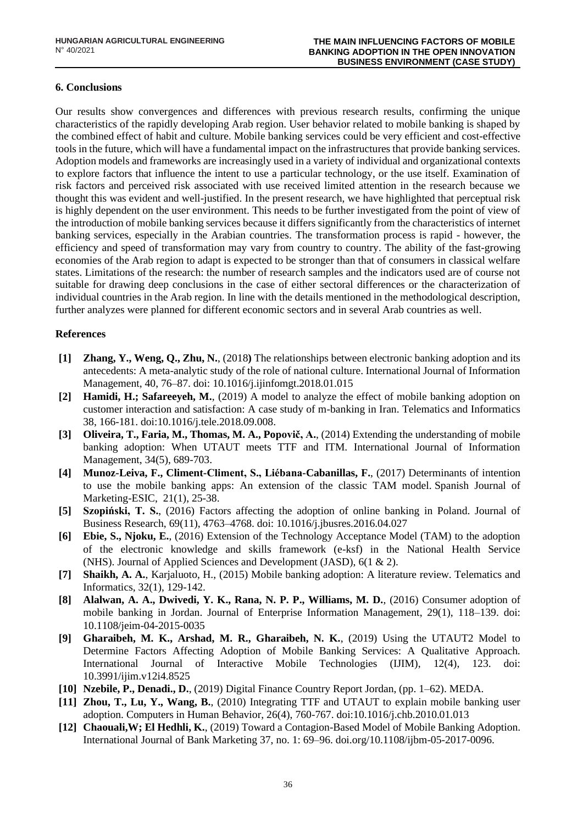# **6. Conclusions**

Our results show convergences and differences with previous research results, confirming the unique characteristics of the rapidly developing Arab region. User behavior related to mobile banking is shaped by the combined effect of habit and culture. Mobile banking services could be very efficient and cost-effective tools in the future, which will have a fundamental impact on the infrastructures that provide banking services. Adoption models and frameworks are increasingly used in a variety of individual and organizational contexts to explore factors that influence the intent to use a particular technology, or the use itself. Examination of risk factors and perceived risk associated with use received limited attention in the research because we thought this was evident and well-justified. In the present research, we have highlighted that perceptual risk is highly dependent on the user environment. This needs to be further investigated from the point of view of the introduction of mobile banking services because it differs significantly from the characteristics of internet banking services, especially in the Arabian countries. The transformation process is rapid - however, the efficiency and speed of transformation may vary from country to country. The ability of the fast-growing economies of the Arab region to adapt is expected to be stronger than that of consumers in classical welfare states. Limitations of the research: the number of research samples and the indicators used are of course not suitable for drawing deep conclusions in the case of either sectoral differences or the characterization of individual countries in the Arab region. In line with the details mentioned in the methodological description, further analyzes were planned for different economic sectors and in several Arab countries as well.

# **References**

- <span id="page-8-0"></span>**[1] Zhang, Y., Weng, Q., Zhu, N.**, (2018**)** The relationships between electronic banking adoption and its antecedents: A meta-analytic study of the role of national culture. International Journal of Information Management, 40, 76–87. doi: 10.1016/j.ijinfomgt.2018.01.015
- <span id="page-8-1"></span>**[2] Hamidi, H.; Safareeyeh, M.**, (2019) A model to analyze the effect of mobile banking adoption on customer interaction and satisfaction: A case study of m-banking in Iran. Telematics and Informatics 38, 166-181. doi:10.1016/j.tele.2018.09.008.
- <span id="page-8-2"></span>**[3] Oliveira, T., Faria, M., Thomas, M. A., Popovič, A.**, (2014) Extending the understanding of mobile banking adoption: When UTAUT meets TTF and ITM. International Journal of Information Management, 34(5), 689-703.
- <span id="page-8-3"></span>**[4] Munoz-Leiva, F., Climent-Climent, S., Liébana-Cabanillas, F.**, (2017) Determinants of intention to use the mobile banking apps: An extension of the classic TAM model. Spanish Journal of Marketing-ESIC, 21(1), 25-38.
- <span id="page-8-4"></span>**[5] Szopiński, T. S.**, (2016) Factors affecting the adoption of online banking in Poland. Journal of Business Research, 69(11), 4763–4768. doi: 10.1016/j.jbusres.2016.04.027
- <span id="page-8-5"></span>**[6] Ebie, S., Njoku, E.**, (2016) Extension of the Technology Acceptance Model (TAM) to the adoption of the electronic knowledge and skills framework (e-ksf) in the National Health Service (NHS). Journal of Applied Sciences and Development (JASD), 6(1 & 2).
- <span id="page-8-6"></span>**[7] Shaikh, A. A.**, Karjaluoto, H., (2015) Mobile banking adoption: A literature review. Telematics and Informatics, 32(1), 129-142.
- <span id="page-8-7"></span>**[8] Alalwan, A. A., Dwivedi, Y. K., Rana, N. P. P., Williams, M. D.**, (2016) Consumer adoption of mobile banking in Jordan. Journal of Enterprise Information Management, 29(1), 118–139. doi: 10.1108/jeim-04-2015-0035
- <span id="page-8-8"></span>**[9] Gharaibeh, M. K., Arshad, M. R., Gharaibeh, N. K.**, (2019) Using the UTAUT2 Model to Determine Factors Affecting Adoption of Mobile Banking Services: A Qualitative Approach. International Journal of Interactive Mobile Technologies (IJIM), 12(4), 123. doi: 10.3991/ijim.v12i4.8525
- <span id="page-8-9"></span>**[10] Nzebile, P., Denadi., D.**, (2019) Digital Finance Country Report Jordan, (pp. 1–62). MEDA.
- <span id="page-8-10"></span>**[11] Zhou, T., Lu, Y., Wang, B.**, (2010) Integrating TTF and UTAUT to explain mobile banking user adoption. Computers in Human Behavior, 26(4), 760-767. doi:10.1016/j.chb.2010.01.013
- <span id="page-8-11"></span>**[12] Chaouali,W; El Hedhli, K.**, (2019) Toward a Contagion-Based Model of Mobile Banking Adoption. International Journal of Bank Marketing 37, no. 1: 69–96. doi.org/10.1108/ijbm-05-2017-0096.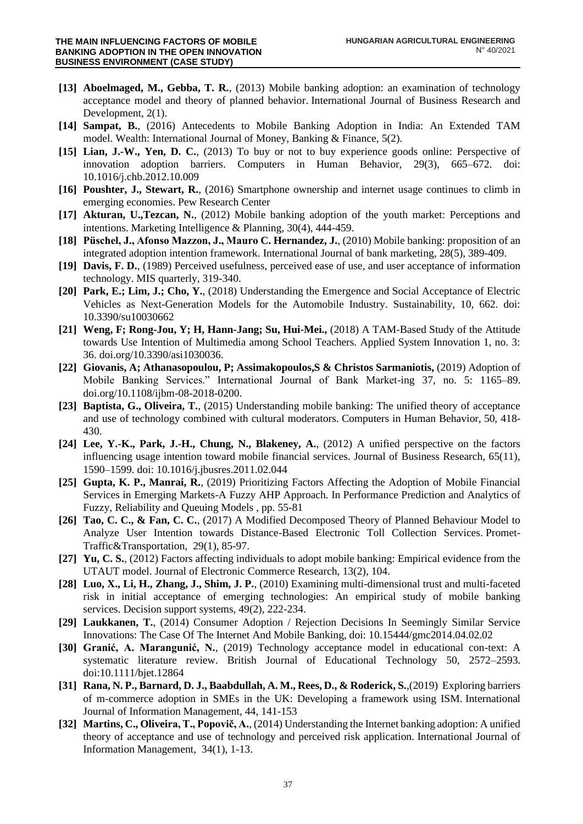- <span id="page-9-0"></span>**[13] Aboelmaged, M., Gebba, T. R.**, (2013) Mobile banking adoption: an examination of technology acceptance model and theory of planned behavior. International Journal of Business Research and Development, 2(1).
- <span id="page-9-1"></span>**[14] Sampat, B.**, (2016) Antecedents to Mobile Banking Adoption in India: An Extended TAM model. Wealth: International Journal of Money, Banking & Finance, 5(2).
- <span id="page-9-2"></span>**[15] Lian, J.-W., Yen, D. C.**, (2013) To buy or not to buy experience goods online: Perspective of innovation adoption barriers. Computers in Human Behavior, 29(3), 665–672. doi: 10.1016/j.chb.2012.10.009
- <span id="page-9-3"></span>**[16] Poushter, J., Stewart, R.**, (2016) Smartphone ownership and internet usage continues to climb in emerging economies. Pew Research Center
- <span id="page-9-4"></span>**[17] Akturan, U.,Tezcan, N.**, (2012) Mobile banking adoption of the youth market: Perceptions and intentions. Marketing Intelligence & Planning, 30(4), 444-459.
- <span id="page-9-5"></span>**[18] Püschel, J., Afonso Mazzon, J., Mauro C. Hernandez, J.**, (2010) Mobile banking: proposition of an integrated adoption intention framework. International Journal of bank marketing, 28(5), 389-409.
- <span id="page-9-17"></span>**[19] Davis, F. D.**, (1989) Perceived usefulness, perceived ease of use, and user acceptance of information technology. MIS quarterly, 319-340.
- <span id="page-9-6"></span>**[20] Park, E.; Lim, J.; Cho, Y.**, (2018) Understanding the Emergence and Social Acceptance of Electric Vehicles as Next-Generation Models for the Automobile Industry. Sustainability, 10, 662. doi: 10.3390/su10030662
- <span id="page-9-7"></span>**[21] Weng, F; Rong-Jou, Y; H, Hann-Jang; Su, Hui-Mei.,** (2018) A TAM-Based Study of the Attitude towards Use Intention of Multimedia among School Teachers. Applied System Innovation 1, no. 3: 36. doi.org/10.3390/asi1030036.
- <span id="page-9-8"></span>**[22] Giovanis, A; Athanasopoulou, P; Assimakopoulos,S & Christos Sarmaniotis,** (2019) Adoption of Mobile Banking Services." International Journal of Bank Market-ing 37, no. 5: 1165–89. doi.org/10.1108/ijbm-08-2018-0200.
- <span id="page-9-9"></span>**[23] Baptista, G., Oliveira, T.**, (2015) Understanding mobile banking: The unified theory of acceptance and use of technology combined with cultural moderators. Computers in Human Behavior, 50, 418- 430.
- <span id="page-9-10"></span>**[24] Lee, Y.-K., Park, J.-H., Chung, N., Blakeney, A.**, (2012) A unified perspective on the factors influencing usage intention toward mobile financial services. Journal of Business Research, 65(11), 1590–1599. doi: 10.1016/j.jbusres.2011.02.044
- <span id="page-9-11"></span>**[25] Gupta, K. P., Manrai, R.**, (2019) Prioritizing Factors Affecting the Adoption of Mobile Financial Services in Emerging Markets-A Fuzzy AHP Approach. In Performance Prediction and Analytics of Fuzzy, Reliability and Queuing Models , pp. 55-81
- <span id="page-9-12"></span>**[26] Tao, C. C., & Fan, C. C.**, (2017) A Modified Decomposed Theory of Planned Behaviour Model to Analyze User Intention towards Distance-Based Electronic Toll Collection Services. Promet-Traffic&Transportation, 29(1), 85-97.
- <span id="page-9-13"></span>**[27] Yu, C. S.**, (2012) Factors affecting individuals to adopt mobile banking: Empirical evidence from the UTAUT model. Journal of Electronic Commerce Research, 13(2), 104.
- <span id="page-9-14"></span>**[28] Luo, X., Li, H., Zhang, J., Shim, J. P.**, (2010) Examining multi-dimensional trust and multi-faceted risk in initial acceptance of emerging technologies: An empirical study of mobile banking services. Decision support systems, 49(2), 222-234.
- <span id="page-9-15"></span>**[29] Laukkanen, T.**, (2014) Consumer Adoption / Rejection Decisions In Seemingly Similar Service Innovations: The Case Of The Internet And Mobile Banking, doi: 10.15444/gmc2014.04.02.02
- <span id="page-9-16"></span>**[30] Granić, A. Marangunić, N.**, (2019) Technology acceptance model in educational con-text: A systematic literature review. British Journal of Educational Technology 50, 2572–2593. doi:10.1111/bjet.12864
- <span id="page-9-18"></span>**[31] Rana, N. P., Barnard, D. J., Baabdullah, A. M., Rees, D., & Roderick, S.**,(2019) Exploring barriers of m-commerce adoption in SMEs in the UK: Developing a framework using ISM. International Journal of Information Management, 44, 141-153
- <span id="page-9-19"></span>**[32] Martins, C., Oliveira, T., Popovič, A.**, (2014) Understanding the Internet banking adoption: A unified theory of acceptance and use of technology and perceived risk application. International Journal of Information Management, 34(1), 1-13.